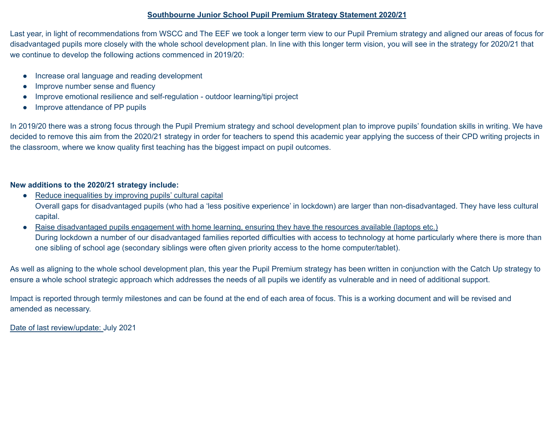# **Southbourne Junior School Pupil Premium Strategy Statement 2020/21**

Last year, in light of recommendations from WSCC and The EEF we took a longer term view to our Pupil Premium strategy and aligned our areas of focus for disadvantaged pupils more closely with the whole school development plan. In line with this longer term vision, you will see in the strategy for 2020/21 that we continue to develop the following actions commenced in 2019/20:

- Increase oral language and reading development
- Improve number sense and fluency
- Improve emotional resilience and self-regulation outdoor learning/tipi project
- Improve attendance of PP pupils

In 2019/20 there was a strong focus through the Pupil Premium strategy and school development plan to improve pupils' foundation skills in writing. We have decided to remove this aim from the 2020/21 strategy in order for teachers to spend this academic year applying the success of their CPD writing projects in the classroom, where we know quality first teaching has the biggest impact on pupil outcomes.

# **New additions to the 2020/21 strategy include:**

- Reduce inequalities by improving pupils' cultural capital Overall gaps for disadvantaged pupils (who had a 'less positive experience' in lockdown) are larger than non-disadvantaged. They have less cultural capital.
- Raise disadvantaged pupils engagement with home learning, ensuring they have the resources available (laptops etc.) During lockdown a number of our disadvantaged families reported difficulties with access to technology at home particularly where there is more than one sibling of school age (secondary siblings were often given priority access to the home computer/tablet).

As well as aligning to the whole school development plan, this year the Pupil Premium strategy has been written in conjunction with the Catch Up strategy to ensure a whole school strategic approach which addresses the needs of all pupils we identify as vulnerable and in need of additional support.

Impact is reported through termly milestones and can be found at the end of each area of focus. This is a working document and will be revised and amended as necessary.

Date of last review/update: July 2021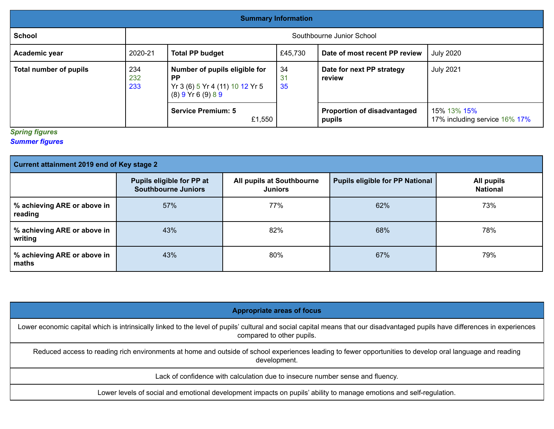| <b>Summary Information</b>                                                                |         |                                                                  |                                                       |                                              |                                              |  |
|-------------------------------------------------------------------------------------------|---------|------------------------------------------------------------------|-------------------------------------------------------|----------------------------------------------|----------------------------------------------|--|
| <b>School</b>                                                                             |         | Southbourne Junior School                                        |                                                       |                                              |                                              |  |
| Academic year                                                                             | 2020-21 | <b>Total PP budget</b>                                           | £45,730                                               | Date of most recent PP review                | <b>July 2020</b>                             |  |
| 234<br><b>Total number of pupils</b><br>232<br><b>PP</b><br>233<br>$(8)$ 9 Yr 6 $(9)$ 8 9 |         | Number of pupils eligible for<br>Yr 3 (6) 5 Yr 4 (11) 10 12 Yr 5 | 34<br>Date for next PP strategy<br>31<br>review<br>35 |                                              | <b>July 2021</b>                             |  |
|                                                                                           |         | <b>Service Premium: 5</b><br>£1,550                              |                                                       | <b>Proportion of disadvantaged</b><br>pupils | 15% 13% 15%<br>17% including service 16% 17% |  |

## *Spring figures*

## *Summer figures*

| Current attainment 2019 end of Key stage 2 |                                                         |                                             |                                        |                               |  |  |
|--------------------------------------------|---------------------------------------------------------|---------------------------------------------|----------------------------------------|-------------------------------|--|--|
|                                            | Pupils eligible for PP at<br><b>Southbourne Juniors</b> | All pupils at Southbourne<br><b>Juniors</b> | <b>Pupils eligible for PP National</b> | All pupils<br><b>National</b> |  |  |
| % achieving ARE or above in<br>reading     | 57%                                                     | 77%                                         | 62%                                    | 73%                           |  |  |
| % achieving ARE or above in<br>writing     | 43%                                                     | 82%                                         | 68%                                    | 78%                           |  |  |
| % achieving ARE or above in<br>maths       | 43%                                                     | 80%                                         | 67%                                    | 79%                           |  |  |

Lower economic capital which is intrinsically linked to the level of pupils' cultural and social capital means that our disadvantaged pupils have differences in experiences compared to other pupils.

Reduced access to reading rich environments at home and outside of school experiences leading to fewer opportunities to develop oral language and reading development.

Lack of confidence with calculation due to insecure number sense and fluency.

Lower levels of social and emotional development impacts on pupils' ability to manage emotions and self-regulation.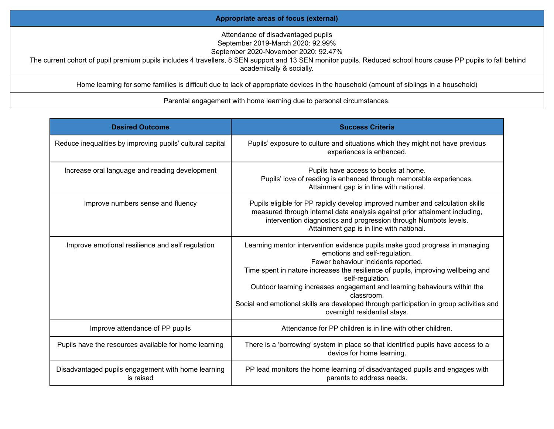## **Appropriate areas of focus (external)**

Attendance of disadvantaged pupils

September 2019-March 2020: 92.99%

September 2020-November 2020: 92.47%

The current cohort of pupil premium pupils includes 4 travellers, 8 SEN support and 13 SEN monitor pupils. Reduced school hours cause PP pupils to fall behind academically & socially.

Home learning for some families is difficult due to lack of appropriate devices in the household (amount of siblings in a household)

## Parental engagement with home learning due to personal circumstances.

| <b>Desired Outcome</b>                                          | <b>Success Criteria</b>                                                                                                                                                                                                                                                                                                                                                                                                                                                          |
|-----------------------------------------------------------------|----------------------------------------------------------------------------------------------------------------------------------------------------------------------------------------------------------------------------------------------------------------------------------------------------------------------------------------------------------------------------------------------------------------------------------------------------------------------------------|
| Reduce inequalities by improving pupils' cultural capital       | Pupils' exposure to culture and situations which they might not have previous<br>experiences is enhanced.                                                                                                                                                                                                                                                                                                                                                                        |
| Increase oral language and reading development                  | Pupils have access to books at home.<br>Pupils' love of reading is enhanced through memorable experiences.<br>Attainment gap is in line with national.                                                                                                                                                                                                                                                                                                                           |
| Improve numbers sense and fluency                               | Pupils eligible for PP rapidly develop improved number and calculation skills<br>measured through internal data analysis against prior attainment including,<br>intervention diagnostics and progression through Numbots levels.<br>Attainment gap is in line with national.                                                                                                                                                                                                     |
| Improve emotional resilience and self regulation                | Learning mentor intervention evidence pupils make good progress in managing<br>emotions and self-regulation.<br>Fewer behaviour incidents reported.<br>Time spent in nature increases the resilience of pupils, improving wellbeing and<br>self-regulation.<br>Outdoor learning increases engagement and learning behaviours within the<br>classroom.<br>Social and emotional skills are developed through participation in group activities and<br>overnight residential stays. |
| Improve attendance of PP pupils                                 | Attendance for PP children is in line with other children.                                                                                                                                                                                                                                                                                                                                                                                                                       |
| Pupils have the resources available for home learning           | There is a 'borrowing' system in place so that identified pupils have access to a<br>device for home learning.                                                                                                                                                                                                                                                                                                                                                                   |
| Disadvantaged pupils engagement with home learning<br>is raised | PP lead monitors the home learning of disadvantaged pupils and engages with<br>parents to address needs.                                                                                                                                                                                                                                                                                                                                                                         |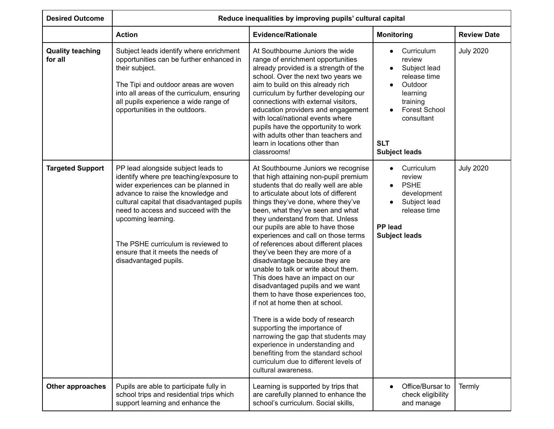| <b>Desired Outcome</b>             |                                                                                                                                                                                                                                                                                                                                                                           | Reduce inequalities by improving pupils' cultural capital                                                                                                                                                                                                                                                                                                                                                                                                                                                                                                                                                                                                                                                                                                                                                                                                                                                         |                                                                                                                                                                     |                    |
|------------------------------------|---------------------------------------------------------------------------------------------------------------------------------------------------------------------------------------------------------------------------------------------------------------------------------------------------------------------------------------------------------------------------|-------------------------------------------------------------------------------------------------------------------------------------------------------------------------------------------------------------------------------------------------------------------------------------------------------------------------------------------------------------------------------------------------------------------------------------------------------------------------------------------------------------------------------------------------------------------------------------------------------------------------------------------------------------------------------------------------------------------------------------------------------------------------------------------------------------------------------------------------------------------------------------------------------------------|---------------------------------------------------------------------------------------------------------------------------------------------------------------------|--------------------|
|                                    | <b>Action</b>                                                                                                                                                                                                                                                                                                                                                             | <b>Evidence/Rationale</b>                                                                                                                                                                                                                                                                                                                                                                                                                                                                                                                                                                                                                                                                                                                                                                                                                                                                                         | <b>Monitoring</b>                                                                                                                                                   | <b>Review Date</b> |
| <b>Quality teaching</b><br>for all | Subject leads identify where enrichment<br>opportunities can be further enhanced in<br>their subject.<br>The Tipi and outdoor areas are woven<br>into all areas of the curriculum, ensuring<br>all pupils experience a wide range of<br>opportunities in the outdoors.                                                                                                    | At Southbourne Juniors the wide<br>range of enrichment opportunities<br>already provided is a strength of the<br>school. Over the next two years we<br>aim to build on this already rich<br>curriculum by further developing our<br>connections with external visitors,<br>education providers and engagement<br>with local/national events where<br>pupils have the opportunity to work<br>with adults other than teachers and<br>learn in locations other than<br>classrooms!                                                                                                                                                                                                                                                                                                                                                                                                                                   | Curriculum<br>review<br>Subject lead<br>release time<br>Outdoor<br>learning<br>training<br><b>Forest School</b><br>consultant<br><b>SLT</b><br><b>Subject leads</b> | <b>July 2020</b>   |
| <b>Targeted Support</b>            | PP lead alongside subject leads to<br>identify where pre teaching/exposure to<br>wider experiences can be planned in<br>advance to raise the knowledge and<br>cultural capital that disadvantaged pupils<br>need to access and succeed with the<br>upcoming learning.<br>The PSHE curriculum is reviewed to<br>ensure that it meets the needs of<br>disadvantaged pupils. | At Southbourne Juniors we recognise<br>that high attaining non-pupil premium<br>students that do really well are able<br>to articulate about lots of different<br>things they've done, where they've<br>been, what they've seen and what<br>they understand from that. Unless<br>our pupils are able to have those<br>experiences and call on those terms<br>of references about different places<br>they've been they are more of a<br>disadvantage because they are<br>unable to talk or write about them.<br>This does have an impact on our<br>disadvantaged pupils and we want<br>them to have those experiences too,<br>if not at home then at school.<br>There is a wide body of research<br>supporting the importance of<br>narrowing the gap that students may<br>experience in understanding and<br>benefiting from the standard school<br>curriculum due to different levels of<br>cultural awareness. | Curriculum<br>$\bullet$<br>review<br><b>PSHE</b><br>$\bullet$<br>development<br>Subject lead<br>release time<br><b>PP</b> lead<br><b>Subject leads</b>              | <b>July 2020</b>   |
| Other approaches                   | Pupils are able to participate fully in<br>school trips and residential trips which<br>support learning and enhance the                                                                                                                                                                                                                                                   | Learning is supported by trips that<br>are carefully planned to enhance the<br>school's curriculum. Social skills,                                                                                                                                                                                                                                                                                                                                                                                                                                                                                                                                                                                                                                                                                                                                                                                                | Office/Bursar to<br>check eligibility<br>and manage                                                                                                                 | Termly             |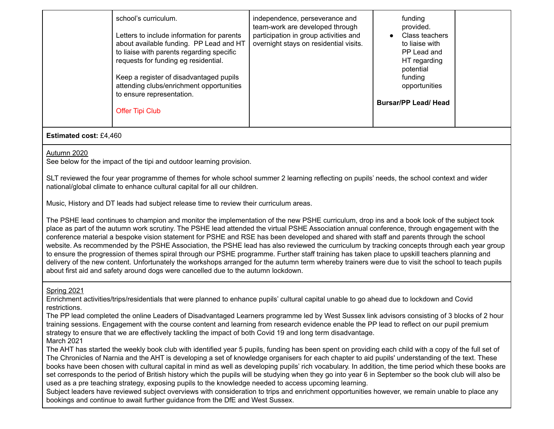| Keep a register of disadvantaged pupils<br>funding<br>attending clubs/enrichment opportunities<br>opportunities<br>to ensure representation.<br><b>Bursar/PP Lead/ Head</b><br><b>Offer Tipi Club</b> |
|-------------------------------------------------------------------------------------------------------------------------------------------------------------------------------------------------------|
|-------------------------------------------------------------------------------------------------------------------------------------------------------------------------------------------------------|

## **Estimated cost:** £4,460

## Autumn 2020

See below for the impact of the tipi and outdoor learning provision.

SLT reviewed the four year programme of themes for whole school summer 2 learning reflecting on pupils' needs, the school context and wider national/global climate to enhance cultural capital for all our children.

Music, History and DT leads had subject release time to review their curriculum areas.

The PSHE lead continues to champion and monitor the implementation of the new PSHE curriculum, drop ins and a book look of the subject took place as part of the autumn work scrutiny. The PSHE lead attended the virtual PSHE Association annual conference, through engagement with the conference material a bespoke vision statement for PSHE and RSE has been developed and shared with staff and parents through the school website. As recommended by the PSHE Association, the PSHE lead has also reviewed the curriculum by tracking concepts through each year group to ensure the progression of themes spiral through our PSHE programme. Further staff training has taken place to upskill teachers planning and delivery of the new content. Unfortunately the workshops arranged for the autumn term whereby trainers were due to visit the school to teach pupils about first aid and safety around dogs were cancelled due to the autumn lockdown.

# Spring 2021

Enrichment activities/trips/residentials that were planned to enhance pupils' cultural capital unable to go ahead due to lockdown and Covid restrictions.

The PP lead completed the online Leaders of Disadvantaged Learners programme led by West Sussex link advisors consisting of 3 blocks of 2 hour training sessions. Engagement with the course content and learning from research evidence enable the PP lead to reflect on our pupil premium strategy to ensure that we are effectively tackling the impact of both Covid 19 and long term disadvantage. March 2021

The AHT has started the weekly book club with identified year 5 pupils, funding has been spent on providing each child with a copy of the full set of The Chronicles of Narnia and the AHT is developing a set of knowledge organisers for each chapter to aid pupils' understanding of the text. These books have been chosen with cultural capital in mind as well as developing pupils' rich vocabulary. In addition, the time period which these books are set corresponds to the period of British history which the pupils will be studying when they go into year 6 in September so the book club will also be used as a pre teaching strategy, exposing pupils to the knowledge needed to access upcoming learning.

Subject leaders have reviewed subject overviews with consideration to trips and enrichment opportunities however, we remain unable to place any bookings and continue to await further guidance from the DfE and West Sussex.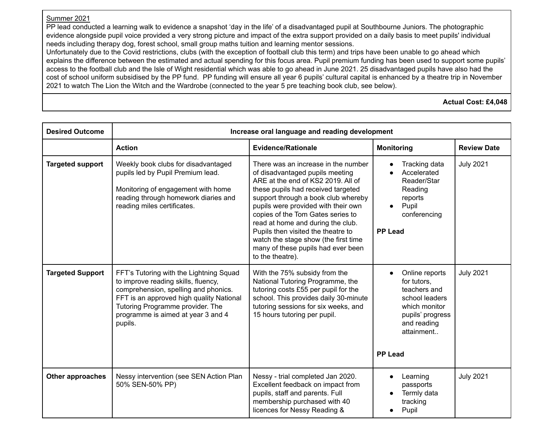# Summer 2021

PP lead conducted a learning walk to evidence a snapshot 'day in the life' of a disadvantaged pupil at Southbourne Juniors. The photographic evidence alongside pupil voice provided a very strong picture and impact of the extra support provided on a daily basis to meet pupils' individual needs including therapy dog, forest school, small group maths tuition and learning mentor sessions.

Unfortunately due to the Covid restrictions, clubs (with the exception of football club this term) and trips have been unable to go ahead which explains the difference between the estimated and actual spending for this focus area. Pupil premium funding has been used to support some pupils' access to the football club and the Isle of Wight residential which was able to go ahead in June 2021. 25 disadvantaged pupils have also had the cost of school uniform subsidised by the PP fund. PP funding will ensure all year 6 pupils' cultural capital is enhanced by a theatre trip in November 2021 to watch The Lion the Witch and the Wardrobe (connected to the year 5 pre teaching book club, see below).

**Actual Cost: £4,048**

| <b>Desired Outcome</b>  | Increase oral language and reading development                                                                                                                                                                                                          |                                                                                                                                                                                                                                                                                                                                                                                                                                                    |                                                                                                                                                                  |                    |  |
|-------------------------|---------------------------------------------------------------------------------------------------------------------------------------------------------------------------------------------------------------------------------------------------------|----------------------------------------------------------------------------------------------------------------------------------------------------------------------------------------------------------------------------------------------------------------------------------------------------------------------------------------------------------------------------------------------------------------------------------------------------|------------------------------------------------------------------------------------------------------------------------------------------------------------------|--------------------|--|
|                         | <b>Action</b>                                                                                                                                                                                                                                           | <b>Evidence/Rationale</b>                                                                                                                                                                                                                                                                                                                                                                                                                          | <b>Monitoring</b>                                                                                                                                                | <b>Review Date</b> |  |
| <b>Targeted support</b> | Weekly book clubs for disadvantaged<br>pupils led by Pupil Premium lead.<br>Monitoring of engagement with home<br>reading through homework diaries and<br>reading miles certificates.                                                                   | There was an increase in the number<br>of disadvantaged pupils meeting<br>ARE at the end of KS2 2019. All of<br>these pupils had received targeted<br>support through a book club whereby<br>pupils were provided with their own<br>copies of the Tom Gates series to<br>read at home and during the club.<br>Pupils then visited the theatre to<br>watch the stage show (the first time<br>many of these pupils had ever been<br>to the theatre). | Tracking data<br>Accelerated<br>Reader/Star<br>Reading<br>reports<br>Pupil<br>$\bullet$<br>conferencing<br><b>PP Lead</b>                                        | <b>July 2021</b>   |  |
| <b>Targeted Support</b> | FFT's Tutoring with the Lightning Squad<br>to improve reading skills, fluency,<br>comprehension, spelling and phonics.<br>FFT is an approved high quality National<br>Tutoring Programme provider. The<br>programme is aimed at year 3 and 4<br>pupils. | With the 75% subsidy from the<br>National Tutoring Programme, the<br>tutoring costs £55 per pupil for the<br>school. This provides daily 30-minute<br>tutoring sessions for six weeks, and<br>15 hours tutoring per pupil.                                                                                                                                                                                                                         | Online reports<br>$\bullet$<br>for tutors,<br>teachers and<br>school leaders<br>which monitor<br>pupils' progress<br>and reading<br>attainment<br><b>PP Lead</b> | <b>July 2021</b>   |  |
| Other approaches        | Nessy intervention (see SEN Action Plan<br>50% SEN-50% PP)                                                                                                                                                                                              | Nessy - trial completed Jan 2020.<br>Excellent feedback on impact from<br>pupils, staff and parents. Full<br>membership purchased with 40<br>licences for Nessy Reading &                                                                                                                                                                                                                                                                          | Learning<br>$\bullet$<br>passports<br>Termly data<br>tracking<br>Pupil<br>$\bullet$                                                                              | <b>July 2021</b>   |  |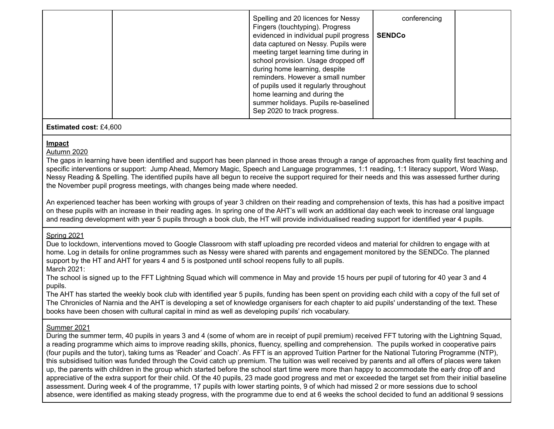|  |  | Spelling and 20 licences for Nessy<br>Fingers (touchtyping). Progress<br>evidenced in individual pupil progress  <br>data captured on Nessy. Pupils were<br>meeting target learning time during in<br>school provision. Usage dropped off<br>during home learning, despite<br>reminders. However a small number<br>of pupils used it regularly throughout<br>home learning and during the<br>summer holidays. Pupils re-baselined<br>Sep 2020 to track progress. | conferencing<br><b>SENDCo</b> |  |
|--|--|------------------------------------------------------------------------------------------------------------------------------------------------------------------------------------------------------------------------------------------------------------------------------------------------------------------------------------------------------------------------------------------------------------------------------------------------------------------|-------------------------------|--|
|--|--|------------------------------------------------------------------------------------------------------------------------------------------------------------------------------------------------------------------------------------------------------------------------------------------------------------------------------------------------------------------------------------------------------------------------------------------------------------------|-------------------------------|--|

## **Estimated cost:** £4,600

## **Impact**

Autumn 2020

The gaps in learning have been identified and support has been planned in those areas through a range of approaches from quality first teaching and specific interventions or support: Jump Ahead, Memory Magic, Speech and Language programmes, 1:1 reading, 1:1 literacy support, Word Wasp, Nessy Reading & Spelling. The identified pupils have all begun to receive the support required for their needs and this was assessed further during the November pupil progress meetings, with changes being made where needed.

An experienced teacher has been working with groups of year 3 children on their reading and comprehension of texts, this has had a positive impact on these pupils with an increase in their reading ages. In spring one of the AHT's will work an additional day each week to increase oral language and reading development with year 5 pupils through a book club, the HT will provide individualised reading support for identified year 4 pupils.

# Spring 2021

Due to lockdown, interventions moved to Google Classroom with staff uploading pre recorded videos and material for children to engage with at home. Log in details for online programmes such as Nessy were shared with parents and engagement monitored by the SENDCo. The planned support by the HT and AHT for years 4 and 5 is postponed until school reopens fully to all pupils. March 2021:

The school is signed up to the FFT Lightning Squad which will commence in May and provide 15 hours per pupil of tutoring for 40 year 3 and 4 pupils.

The AHT has started the weekly book club with identified year 5 pupils, funding has been spent on providing each child with a copy of the full set of The Chronicles of Narnia and the AHT is developing a set of knowledge organisers for each chapter to aid pupils' understanding of the text. These books have been chosen with cultural capital in mind as well as developing pupils' rich vocabulary.

# Summer 2021

During the summer term, 40 pupils in years 3 and 4 (some of whom are in receipt of pupil premium) received FFT tutoring with the Lightning Squad, a reading programme which aims to improve reading skills, phonics, fluency, spelling and comprehension. The pupils worked in cooperative pairs (four pupils and the tutor), taking turns as 'Reader' and Coach'. As FFT is an approved Tuition Partner for the National Tutoring Programme (NTP), this subsidised tuition was funded through the Covid catch up premium. The tuition was well received by parents and all offers of places were taken up, the parents with children in the group which started before the school start time were more than happy to accommodate the early drop off and appreciative of the extra support for their child. Of the 40 pupils, 23 made good progress and met or exceeded the target set from their initial baseline assessment. During week 4 of the programme, 17 pupils with lower starting points, 9 of which had missed 2 or more sessions due to school absence, were identified as making steady progress, with the programme due to end at 6 weeks the school decided to fund an additional 9 sessions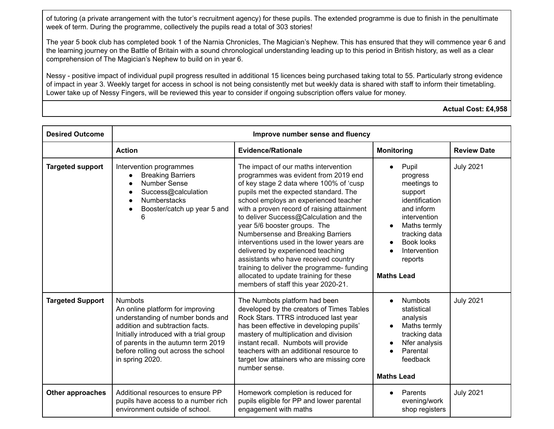of tutoring (a private arrangement with the tutor's recruitment agency) for these pupils. The extended programme is due to finish in the penultimate week of term. During the programme, collectively the pupils read a total of 303 stories!

The year 5 book club has completed book 1 of the Narnia Chronicles, The Magician's Nephew. This has ensured that they will commence year 6 and the learning journey on the Battle of Britain with a sound chronological understanding leading up to this period in British history, as well as a clear comprehension of The Magician's Nephew to build on in year 6.

Nessy - positive impact of individual pupil progress resulted in additional 15 licences being purchased taking total to 55. Particularly strong evidence of impact in year 3. Weekly target for access in school is not being consistently met but weekly data is shared with staff to inform their timetabling. Lower take up of Nessy Fingers, will be reviewed this year to consider if ongoing subscription offers value for money.

**Actual Cost: £4,958**

| <b>Desired Outcome</b>  | Improve number sense and fluency                                                                                                                                                                                                                                       |                                                                                                                                                                                                                                                                                                                                                                                                                                                                                                                                                                                                                                 |                                                                                                                                                                                                                                          |                    |  |  |
|-------------------------|------------------------------------------------------------------------------------------------------------------------------------------------------------------------------------------------------------------------------------------------------------------------|---------------------------------------------------------------------------------------------------------------------------------------------------------------------------------------------------------------------------------------------------------------------------------------------------------------------------------------------------------------------------------------------------------------------------------------------------------------------------------------------------------------------------------------------------------------------------------------------------------------------------------|------------------------------------------------------------------------------------------------------------------------------------------------------------------------------------------------------------------------------------------|--------------------|--|--|
|                         | <b>Action</b>                                                                                                                                                                                                                                                          | <b>Evidence/Rationale</b>                                                                                                                                                                                                                                                                                                                                                                                                                                                                                                                                                                                                       | <b>Monitoring</b>                                                                                                                                                                                                                        | <b>Review Date</b> |  |  |
| <b>Targeted support</b> | Intervention programmes<br><b>Breaking Barriers</b><br><b>Number Sense</b><br>Success@calculation<br><b>Numberstacks</b><br>Booster/catch up year 5 and<br>6                                                                                                           | The impact of our maths intervention<br>programmes was evident from 2019 end<br>of key stage 2 data where 100% of 'cusp<br>pupils met the expected standard. The<br>school employs an experienced teacher<br>with a proven record of raising attainment<br>to deliver Success@Calculation and the<br>year 5/6 booster groups. The<br>Numbersense and Breaking Barriers<br>interventions used in the lower years are<br>delivered by experienced teaching<br>assistants who have received country<br>training to deliver the programme- funding<br>allocated to update training for these<br>members of staff this year 2020-21. | Pupil<br>$\bullet$<br>progress<br>meetings to<br>support<br>identification<br>and inform<br>intervention<br>Maths termly<br>$\bullet$<br>tracking data<br><b>Book looks</b><br>$\bullet$<br>Intervention<br>reports<br><b>Maths Lead</b> | <b>July 2021</b>   |  |  |
| <b>Targeted Support</b> | <b>Numbots</b><br>An online platform for improving<br>understanding of number bonds and<br>addition and subtraction facts.<br>Initially introduced with a trial group<br>of parents in the autumn term 2019<br>before rolling out across the school<br>in spring 2020. | The Numbots platform had been<br>developed by the creators of Times Tables<br>Rock Stars. TTRS introduced last year<br>has been effective in developing pupils'<br>mastery of multiplication and division<br>instant recall. Numbots will provide<br>teachers with an additional resource to<br>target low attainers who are missing core<br>number sense.                                                                                                                                                                                                                                                                      | <b>Numbots</b><br>$\bullet$<br>statistical<br>analysis<br>Maths termly<br>tracking data<br>Nfer analysis<br>Parental<br>feedback<br><b>Maths Lead</b>                                                                                    | <b>July 2021</b>   |  |  |
| Other approaches        | Additional resources to ensure PP<br>pupils have access to a number rich<br>environment outside of school.                                                                                                                                                             | Homework completion is reduced for<br>pupils eligible for PP and lower parental<br>engagement with maths                                                                                                                                                                                                                                                                                                                                                                                                                                                                                                                        | Parents<br>$\bullet$<br>evening/work<br>shop registers                                                                                                                                                                                   | <b>July 2021</b>   |  |  |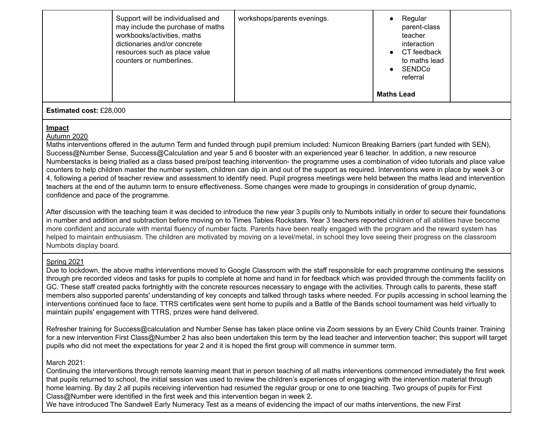| Support will be individualised and<br>may include the purchase of maths<br>workbooks/activities, maths<br>dictionaries and/or concrete<br>resources such as place value<br>counters or numberlines. | workshops/parents evenings. |                   | Regular<br>parent-class<br>teacher<br>interaction<br>CT feedback<br>to maths lead<br>SENDCo<br>referral |  |  |
|-----------------------------------------------------------------------------------------------------------------------------------------------------------------------------------------------------|-----------------------------|-------------------|---------------------------------------------------------------------------------------------------------|--|--|
|                                                                                                                                                                                                     |                             | <b>Maths Lead</b> |                                                                                                         |  |  |
| <b>Estimated cost: £28,000</b>                                                                                                                                                                      |                             |                   |                                                                                                         |  |  |

### **Impact** Autumn 2020

Maths interventions offered in the autumn Term and funded through pupil premium included: Numicon Breaking Barriers (part funded with SEN), Success@Number Sense, Success@Calculation and year 5 and 6 booster with an experienced year 6 teacher. In addition, a new resource Numberstacks is being trialled as a class based pre/post teaching intervention- the programme uses a combination of video tutorials and place value counters to help children master the number system, children can dip in and out of the support as required. Interventions were in place by week 3 or 4, following a period of teacher review and assessment to identify need. Pupil progress meetings were held between the maths lead and intervention teachers at the end of the autumn term to ensure effectiveness. Some changes were made to groupings in consideration of group dynamic, confidence and pace of the programme.

After discussion with the teaching team it was decided to introduce the new year 3 pupils only to Numbots initially in order to secure their foundations in number and addition and subtraction before moving on to Times Tables Rockstars. Year 3 teachers reported children of all abilities have become more confident and accurate with mental fluency of number facts. Parents have been really engaged with the program and the reward system has helped to maintain enthusiasm. The children are motivated by moving on a level/metal, in school they love seeing their progress on the classroom Numbots display board.

# Spring 2021

Due to lockdown, the above maths interventions moved to Google Classroom with the staff responsible for each programme continuing the sessions through pre recorded videos and tasks for pupils to complete at home and hand in for feedback which was provided through the comments facility on GC. These staff created packs fortnightly with the concrete resources necessary to engage with the activities. Through calls to parents, these staff members also supported parents' understanding of key concepts and talked through tasks where needed. For pupils accessing in school learning the interventions continued face to face. TTRS certificates were sent home to pupils and a Battle of the Bands school tournament was held virtually to maintain pupils' engagement with TTRS, prizes were hand delivered.

Refresher training for Success@calculation and Number Sense has taken place online via Zoom sessions by an Every Child Counts trainer. Training for a new intervention First Class@Number 2 has also been undertaken this term by the lead teacher and intervention teacher; this support will target pupils who did not meet the expectations for year 2 and it is hoped the first group will commence in summer term.

# March 2021:

Continuing the interventions through remote learning meant that in person teaching of all maths interventions commenced immediately the first week that pupils returned to school, the initial session was used to review the children's experiences of engaging with the intervention material through home learning. By day 2 all pupils receiving intervention had resumed the regular group or one to one teaching. Two groups of pupils for First Class@Number were identified in the first week and this intervention began in week 2.

We have introduced The Sandwell Early Numeracy Test as a means of evidencing the impact of our maths interventions, the new First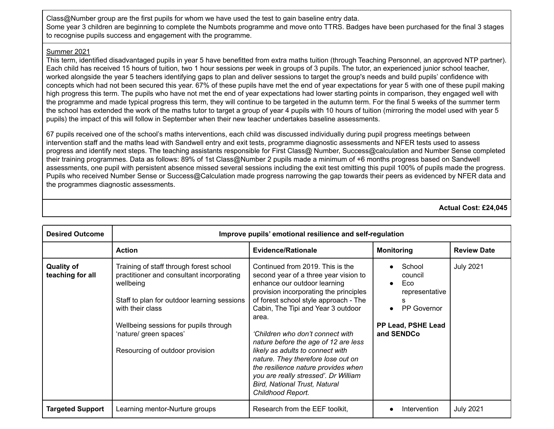Class@Number group are the first pupils for whom we have used the test to gain baseline entry data. Some year 3 children are beginning to complete the Numbots programme and move onto TTRS. Badges have been purchased for the final 3 stages to recognise pupils success and engagement with the programme.

## Summer 2021

This term, identified disadvantaged pupils in year 5 have benefitted from extra maths tuition (through Teaching Personnel, an approved NTP partner). Each child has received 15 hours of tuition, two 1 hour sessions per week in groups of 3 pupils. The tutor, an experienced junior school teacher, worked alongside the year 5 teachers identifying gaps to plan and deliver sessions to target the group's needs and build pupils' confidence with concepts which had not been secured this year. 67% of these pupils have met the end of year expectations for year 5 with one of these pupil making high progress this term. The pupils who have not met the end of year expectations had lower starting points in comparison, they engaged well with the programme and made typical progress this term, they will continue to be targeted in the autumn term. For the final 5 weeks of the summer term the school has extended the work of the maths tutor to target a group of year 4 pupils with 10 hours of tuition (mirroring the model used with year 5 pupils) the impact of this will follow in September when their new teacher undertakes baseline assessments.

67 pupils received one of the school's maths interventions, each child was discussed individually during pupil progress meetings between intervention staff and the maths lead with Sandwell entry and exit tests, programme diagnostic assessments and NFER tests used to assess progress and identify next steps. The teaching assistants responsible for First Class@ Number, Success@calculation and Number Sense completed their training programmes. Data as follows: 89% of 1st Class@Number 2 pupils made a minimum of +6 months progress based on Sandwell assessments, one pupil with persistent absence missed several sessions including the exit test omitting this pupil 100% of pupils made the progress. Pupils who received Number Sense or Success@Calculation made progress narrowing the gap towards their peers as evidenced by NFER data and the programmes diagnostic assessments.

**Actual Cost: £24,045**

| <b>Desired Outcome</b>                | Improve pupils' emotional resilience and self-regulation                                                                                                                                                                                                                   |                                                                                                                                                                                                                                                                                                                                                                                                                                                                                                                                               |                                                                                                      |                    |  |  |
|---------------------------------------|----------------------------------------------------------------------------------------------------------------------------------------------------------------------------------------------------------------------------------------------------------------------------|-----------------------------------------------------------------------------------------------------------------------------------------------------------------------------------------------------------------------------------------------------------------------------------------------------------------------------------------------------------------------------------------------------------------------------------------------------------------------------------------------------------------------------------------------|------------------------------------------------------------------------------------------------------|--------------------|--|--|
|                                       | <b>Action</b>                                                                                                                                                                                                                                                              | <b>Evidence/Rationale</b>                                                                                                                                                                                                                                                                                                                                                                                                                                                                                                                     | <b>Monitoring</b>                                                                                    | <b>Review Date</b> |  |  |
| <b>Quality of</b><br>teaching for all | Training of staff through forest school<br>practitioner and consultant incorporating<br>wellbeing<br>Staff to plan for outdoor learning sessions<br>with their class<br>Wellbeing sessions for pupils through<br>'nature/ green spaces'<br>Resourcing of outdoor provision | Continued from 2019. This is the<br>second year of a three year vision to<br>enhance our outdoor learning<br>provision incorporating the principles<br>of forest school style approach - The<br>Cabin, The Tipi and Year 3 outdoor<br>area.<br>'Children who don't connect with<br>nature before the age of 12 are less<br>likely as adults to connect with<br>nature. They therefore lose out on<br>the resilience nature provides when<br>you are really stressed'. Dr William<br><b>Bird, National Trust, Natural</b><br>Childhood Report. | School<br>council<br>Eco<br>representative<br><b>PP Governor</b><br>PP Lead, PSHE Lead<br>and SENDCo | <b>July 2021</b>   |  |  |
| <b>Targeted Support</b>               | Learning mentor-Nurture groups                                                                                                                                                                                                                                             | Research from the EEF toolkit,                                                                                                                                                                                                                                                                                                                                                                                                                                                                                                                | Intervention                                                                                         | <b>July 2021</b>   |  |  |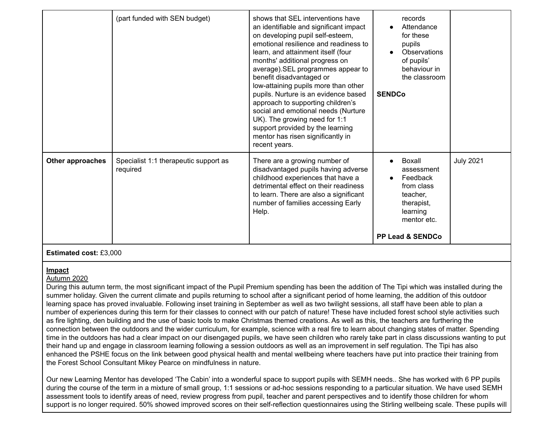|                  | (part funded with SEN budget)                     | shows that SEL interventions have<br>an identifiable and significant impact<br>on developing pupil self-esteem,<br>emotional resilience and readiness to<br>learn, and attainment itself (four<br>months' additional progress on<br>average). SEL programmes appear to<br>benefit disadvantaged or<br>low-attaining pupils more than other<br>pupils. Nurture is an evidence based<br>approach to supporting children's<br>social and emotional needs (Nurture<br>UK). The growing need for 1:1<br>support provided by the learning<br>mentor has risen significantly in<br>recent years. | records<br>Attendance<br>for these<br>pupils<br>Observations<br>of pupils'<br>behaviour in<br>the classroom<br><b>SENDCo</b>       |                  |
|------------------|---------------------------------------------------|-------------------------------------------------------------------------------------------------------------------------------------------------------------------------------------------------------------------------------------------------------------------------------------------------------------------------------------------------------------------------------------------------------------------------------------------------------------------------------------------------------------------------------------------------------------------------------------------|------------------------------------------------------------------------------------------------------------------------------------|------------------|
| Other approaches | Specialist 1:1 therapeutic support as<br>required | There are a growing number of<br>disadvantaged pupils having adverse<br>childhood experiences that have a<br>detrimental effect on their readiness<br>to learn. There are also a significant<br>number of families accessing Early<br>Help.                                                                                                                                                                                                                                                                                                                                               | Boxall<br>assessment<br>Feedback<br>from class<br>teacher.<br>therapist,<br>learning<br>mentor etc.<br><b>PP Lead &amp; SENDCo</b> | <b>July 2021</b> |

## **Estimated cost:** £3,000

## **Impact**

## Autumn 2020

During this autumn term, the most significant impact of the Pupil Premium spending has been the addition of The Tipi which was installed during the summer holiday. Given the current climate and pupils returning to school after a significant period of home learning, the addition of this outdoor learning space has proved invaluable. Following inset training in September as well as two twilight sessions, all staff have been able to plan a number of experiences during this term for their classes to connect with our patch of nature! These have included forest school style activities such as fire lighting, den building and the use of basic tools to make Christmas themed creations. As well as this, the teachers are furthering the connection between the outdoors and the wider curriculum, for example, science with a real fire to learn about changing states of matter. Spending time in the outdoors has had a clear impact on our disengaged pupils, we have seen children who rarely take part in class discussions wanting to put their hand up and engage in classroom learning following a session outdoors as well as an improvement in self regulation. The Tipi has also enhanced the PSHE focus on the link between good physical health and mental wellbeing where teachers have put into practice their training from the Forest School Consultant Mikey Pearce on mindfulness in nature.

Our new Learning Mentor has developed 'The Cabin' into a wonderful space to support pupils with SEMH needs.. She has worked with 6 PP pupils during the course of the term in a mixture of small group, 1:1 sessions or ad-hoc sessions responding to a particular situation. We have used SEMH assessment tools to identify areas of need, review progress from pupil, teacher and parent perspectives and to identify those children for whom support is no longer required. 50% showed improved scores on their self-reflection questionnaires using the Stirling wellbeing scale. These pupils will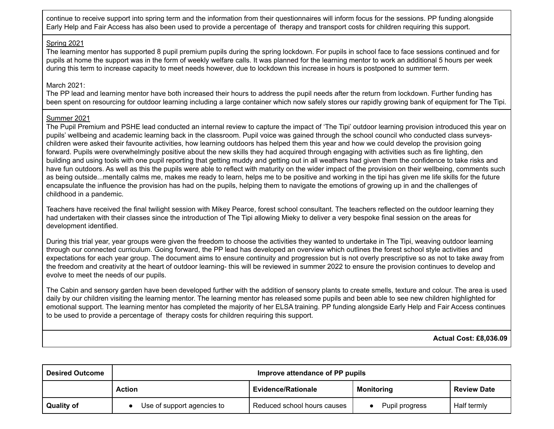continue to receive support into spring term and the information from their questionnaires will inform focus for the sessions. PP funding alongside Early Help and Fair Access has also been used to provide a percentage of therapy and transport costs for children requiring this support.

## Spring 2021

The learning mentor has supported 8 pupil premium pupils during the spring lockdown. For pupils in school face to face sessions continued and for pupils at home the support was in the form of weekly welfare calls. It was planned for the learning mentor to work an additional 5 hours per week during this term to increase capacity to meet needs however, due to lockdown this increase in hours is postponed to summer term.

## March 2021:

The PP lead and learning mentor have both increased their hours to address the pupil needs after the return from lockdown. Further funding has been spent on resourcing for outdoor learning including a large container which now safely stores our rapidly growing bank of equipment for The Tipi.

## Summer 2021

The Pupil Premium and PSHE lead conducted an internal review to capture the impact of 'The Tipi' outdoor learning provision introduced this year on pupils' wellbeing and academic learning back in the classroom. Pupil voice was gained through the school council who conducted class surveyschildren were asked their favourite activities, how learning outdoors has helped them this year and how we could develop the provision going forward. Pupils were overwhelmingly positive about the new skills they had acquired through engaging with activities such as fire lighting, den building and using tools with one pupil reporting that getting muddy and getting out in all weathers had given them the confidence to take risks and have fun outdoors. As well as this the pupils were able to reflect with maturity on the wider impact of the provision on their wellbeing, comments such as being outside...mentally calms me, makes me ready to learn, helps me to be positive and working in the tipi has given me life skills for the future encapsulate the influence the provision has had on the pupils, helping them to navigate the emotions of growing up in and the challenges of childhood in a pandemic.

Teachers have received the final twilight session with Mikey Pearce, forest school consultant. The teachers reflected on the outdoor learning they had undertaken with their classes since the introduction of The Tipi allowing Mieky to deliver a very bespoke final session on the areas for development identified.

During this trial year, year groups were given the freedom to choose the activities they wanted to undertake in The Tipi, weaving outdoor learning through our connected curriculum. Going forward, the PP lead has developed an overview which outlines the forest school style activities and expectations for each year group. The document aims to ensure continuity and progression but is not overly prescriptive so as not to take away from the freedom and creativity at the heart of outdoor learning- this will be reviewed in summer 2022 to ensure the provision continues to develop and evolve to meet the needs of our pupils.

The Cabin and sensory garden have been developed further with the addition of sensory plants to create smells, texture and colour. The area is used daily by our children visiting the learning mentor. The learning mentor has released some pupils and been able to see new children highlighted for emotional support. The learning mentor has completed the majority of her ELSA training. PP funding alongside Early Help and Fair Access continues to be used to provide a percentage of therapy costs for children requiring this support.

**Actual Cost: £8,036.09**

| <b>Desired Outcome</b> | Improve attendance of PP pupils |                             |                   |                    |
|------------------------|---------------------------------|-----------------------------|-------------------|--------------------|
|                        | <b>Action</b>                   | <b>Evidence/Rationale</b>   | <b>Monitoring</b> | <b>Review Date</b> |
| <b>Quality of</b>      | Use of support agencies to      | Reduced school hours causes | Pupil progress    | Half termly        |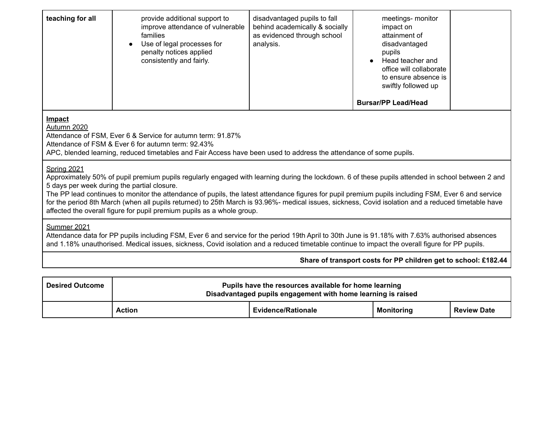| teaching for all                                                                                                                                                                                                                                                                                                                                                                                                                                                                                                                                                                                        | provide additional support to<br>improve attendance of vulnerable<br>families<br>Use of legal processes for<br>penalty notices applied<br>consistently and fairly. | disadvantaged pupils to fall<br>behind academically & socially<br>as evidenced through school<br>analysis. | meetings- monitor<br>impact on<br>attainment of<br>disadvantaged<br>pupils<br>Head teacher and<br>office will collaborate<br>to ensure absence is<br>swiftly followed up<br><b>Bursar/PP Lead/Head</b> |  |
|---------------------------------------------------------------------------------------------------------------------------------------------------------------------------------------------------------------------------------------------------------------------------------------------------------------------------------------------------------------------------------------------------------------------------------------------------------------------------------------------------------------------------------------------------------------------------------------------------------|--------------------------------------------------------------------------------------------------------------------------------------------------------------------|------------------------------------------------------------------------------------------------------------|--------------------------------------------------------------------------------------------------------------------------------------------------------------------------------------------------------|--|
| Impact<br>Autumn 2020<br>Attendance of FSM, Ever 6 & Service for autumn term: 91.87%<br>Attendance of FSM & Ever 6 for autumn term: 92.43%<br>APC, blended learning, reduced timetables and Fair Access have been used to address the attendance of some pupils.                                                                                                                                                                                                                                                                                                                                        |                                                                                                                                                                    |                                                                                                            |                                                                                                                                                                                                        |  |
| Spring 2021<br>Approximately 50% of pupil premium pupils regularly engaged with learning during the lockdown. 6 of these pupils attended in school between 2 and<br>5 days per week during the partial closure.<br>The PP lead continues to monitor the attendance of pupils, the latest attendance figures for pupil premium pupils including FSM, Ever 6 and service<br>for the period 8th March (when all pupils returned) to 25th March is 93.96%- medical issues, sickness, Covid isolation and a reduced timetable have<br>affected the overall figure for pupil premium pupils as a whole group. |                                                                                                                                                                    |                                                                                                            |                                                                                                                                                                                                        |  |
| Summer 2021<br>Attendance data for PP pupils including FSM, Ever 6 and service for the period 19th April to 30th June is 91.18% with 7.63% authorised absences<br>and 1.18% unauthorised. Medical issues, sickness, Covid isolation and a reduced timetable continue to impact the overall figure for PP pupils.                                                                                                                                                                                                                                                                                        |                                                                                                                                                                    |                                                                                                            |                                                                                                                                                                                                        |  |
| Share of transport costs for PP children get to school: £182.44                                                                                                                                                                                                                                                                                                                                                                                                                                                                                                                                         |                                                                                                                                                                    |                                                                                                            |                                                                                                                                                                                                        |  |
|                                                                                                                                                                                                                                                                                                                                                                                                                                                                                                                                                                                                         |                                                                                                                                                                    |                                                                                                            |                                                                                                                                                                                                        |  |

| <b>Desired Outcome</b> | Pupils have the resources available for home learning<br>Disadvantaged pupils engagement with home learning is raised |                           |                   |                    |  |
|------------------------|-----------------------------------------------------------------------------------------------------------------------|---------------------------|-------------------|--------------------|--|
|                        | <b>Action</b>                                                                                                         | <b>Evidence/Rationale</b> | <b>Monitoring</b> | <b>Review Date</b> |  |